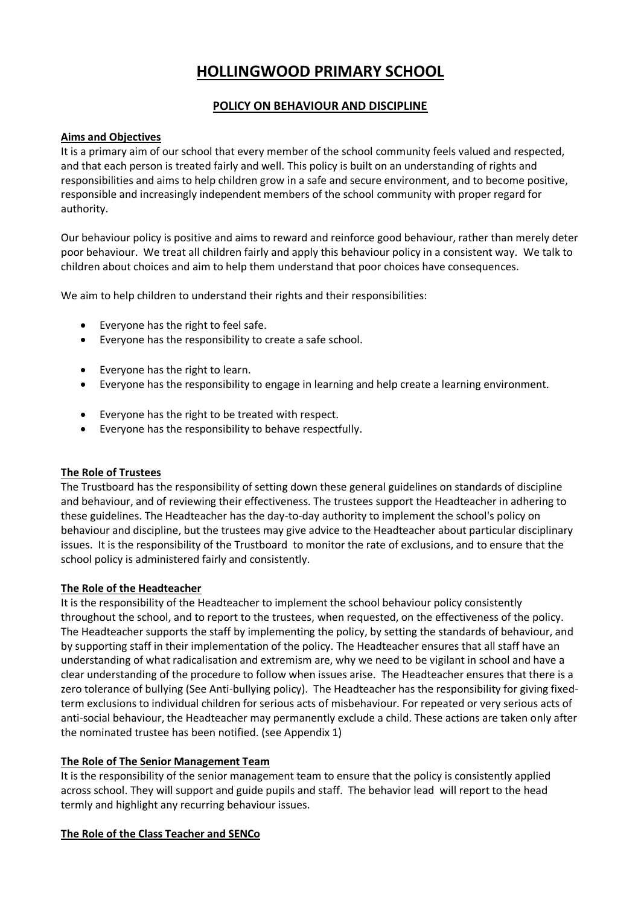# **HOLLINGWOOD PRIMARY SCHOOL**

# **POLICY ON BEHAVIOUR AND DISCIPLINE**

# **Aims and Objectives**

It is a primary aim of our school that every member of the school community feels valued and respected, and that each person is treated fairly and well. This policy is built on an understanding of rights and responsibilities and aims to help children grow in a safe and secure environment, and to become positive, responsible and increasingly independent members of the school community with proper regard for authority.

Our behaviour policy is positive and aims to reward and reinforce good behaviour, rather than merely deter poor behaviour. We treat all children fairly and apply this behaviour policy in a consistent way. We talk to children about choices and aim to help them understand that poor choices have consequences.

We aim to help children to understand their rights and their responsibilities:

- Everyone has the right to feel safe.
- Everyone has the responsibility to create a safe school.
- Everyone has the right to learn.
- Everyone has the responsibility to engage in learning and help create a learning environment.
- Everyone has the right to be treated with respect.
- Everyone has the responsibility to behave respectfully.

#### **The Role of Trustees**

The Trustboard has the responsibility of setting down these general guidelines on standards of discipline and behaviour, and of reviewing their effectiveness. The trustees support the Headteacher in adhering to these guidelines. The Headteacher has the day-to-day authority to implement the school's policy on behaviour and discipline, but the trustees may give advice to the Headteacher about particular disciplinary issues. It is the responsibility of the Trustboard to monitor the rate of exclusions, and to ensure that the school policy is administered fairly and consistently.

#### **The Role of the Headteacher**

It is the responsibility of the Headteacher to implement the school behaviour policy consistently throughout the school, and to report to the trustees, when requested, on the effectiveness of the policy. The Headteacher supports the staff by implementing the policy, by setting the standards of behaviour, and by supporting staff in their implementation of the policy. The Headteacher ensures that all staff have an understanding of what radicalisation and extremism are, why we need to be vigilant in school and have a clear understanding of the procedure to follow when issues arise. The Headteacher ensures that there is a zero tolerance of bullying (See Anti-bullying policy). The Headteacher has the responsibility for giving fixedterm exclusions to individual children for serious acts of misbehaviour. For repeated or very serious acts of anti-social behaviour, the Headteacher may permanently exclude a child. These actions are taken only after the nominated trustee has been notified. (see Appendix 1)

#### **The Role of The Senior Management Team**

It is the responsibility of the senior management team to ensure that the policy is consistently applied across school. They will support and guide pupils and staff. The behavior lead will report to the head termly and highlight any recurring behaviour issues.

#### **The Role of the Class Teacher and SENCo**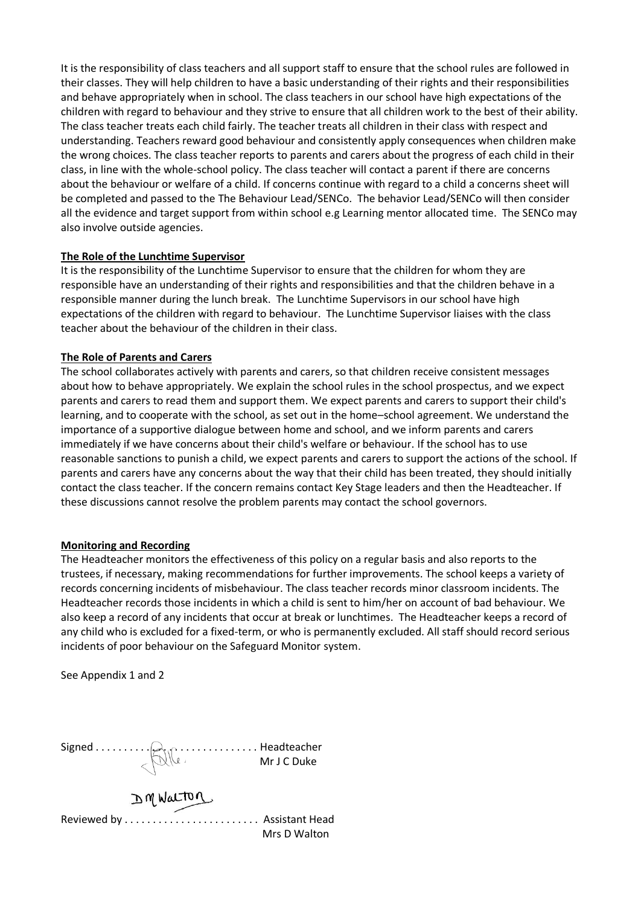It is the responsibility of class teachers and all support staff to ensure that the school rules are followed in their classes. They will help children to have a basic understanding of their rights and their responsibilities and behave appropriately when in school. The class teachers in our school have high expectations of the children with regard to behaviour and they strive to ensure that all children work to the best of their ability. The class teacher treats each child fairly. The teacher treats all children in their class with respect and understanding. Teachers reward good behaviour and consistently apply consequences when children make the wrong choices. The class teacher reports to parents and carers about the progress of each child in their class, in line with the whole-school policy. The class teacher will contact a parent if there are concerns about the behaviour or welfare of a child. If concerns continue with regard to a child a concerns sheet will be completed and passed to the The Behaviour Lead/SENCo. The behavior Lead/SENCo will then consider all the evidence and target support from within school e.g Learning mentor allocated time. The SENCo may also involve outside agencies.

#### **The Role of the Lunchtime Supervisor**

It is the responsibility of the Lunchtime Supervisor to ensure that the children for whom they are responsible have an understanding of their rights and responsibilities and that the children behave in a responsible manner during the lunch break. The Lunchtime Supervisors in our school have high expectations of the children with regard to behaviour. The Lunchtime Supervisor liaises with the class teacher about the behaviour of the children in their class.

# **The Role of Parents and Carers**

The school collaborates actively with parents and carers, so that children receive consistent messages about how to behave appropriately. We explain the school rules in the school prospectus, and we expect parents and carers to read them and support them. We expect parents and carers to support their child's learning, and to cooperate with the school, as set out in the home–school agreement. We understand the importance of a supportive dialogue between home and school, and we inform parents and carers immediately if we have concerns about their child's welfare or behaviour. If the school has to use reasonable sanctions to punish a child, we expect parents and carers to support the actions of the school. If parents and carers have any concerns about the way that their child has been treated, they should initially contact the class teacher. If the concern remains contact Key Stage leaders and then the Headteacher. If these discussions cannot resolve the problem parents may contact the school governors.

#### **Monitoring and Recording**

The Headteacher monitors the effectiveness of this policy on a regular basis and also reports to the trustees, if necessary, making recommendations for further improvements. The school keeps a variety of records concerning incidents of misbehaviour. The class teacher records minor classroom incidents. The Headteacher records those incidents in which a child is sent to him/her on account of bad behaviour. We also keep a record of any incidents that occur at break or lunchtimes. The Headteacher keeps a record of any child who is excluded for a fixed-term, or who is permanently excluded. All staff should record serious incidents of poor behaviour on the Safeguard Monitor system.

See Appendix 1 and 2

Signed . . . . . . . . . . . . . . . . . . . . . . . . . . . . . Headteacher Mr J C Duke

Reviewed by . . . . . . . . . . . . . . . . . . . . . . . . Assistant Head Mrs D Walton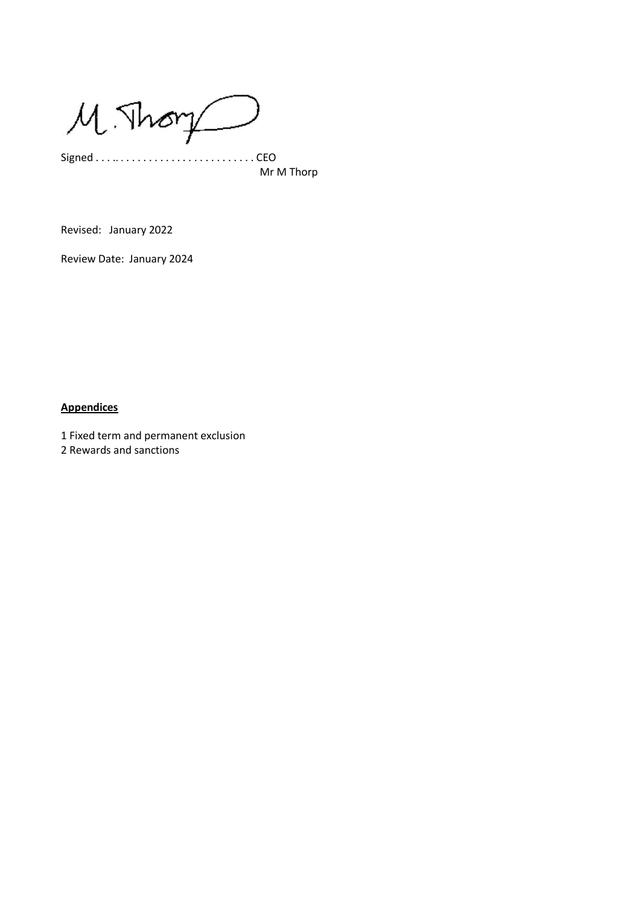$M$ . Thory

Signed . . . .. . . . . . . . . . . . . . . . . . . . . . . . . CEO Mr M Thorp

Revised: January 2022

Review Date: January 2024

# **Appendices**

1 Fixed term and permanent exclusion

2 Rewards and sanctions